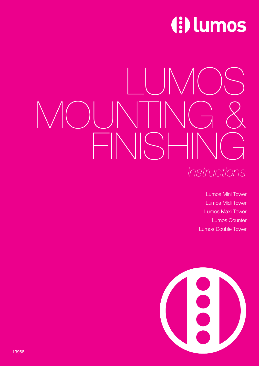# (!) lumos

# LUMOS  $\bigcirc$ FINISHING *instructions*

Lumos Mini Tower Lumos Midi Tower Lumos Maxi Tower Lumos Counter Lumos Double Tower

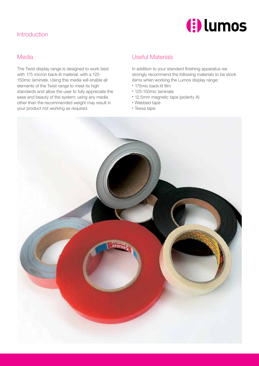# Introduction



#### Media

The Twist display range is designed to work best with 175 micron back-lit material, with a 125- 150mic laminate. Using this media will enable all elements of the Twist range to meet its high standards and allow the user to fully appreciate the ease and beauty of the system; using any media other than the recommended weight may result in your product not working as required.

### Useful Materials

In addition to your standard finishing apparatus we strongly recommend the following materials to be stock items when working the Lumos display range:

- 175mic back-lit film
- 125-150mic laminate
- 12.5mm magnetic tape (polarity A)
- Webbed tape
- Tessa tape